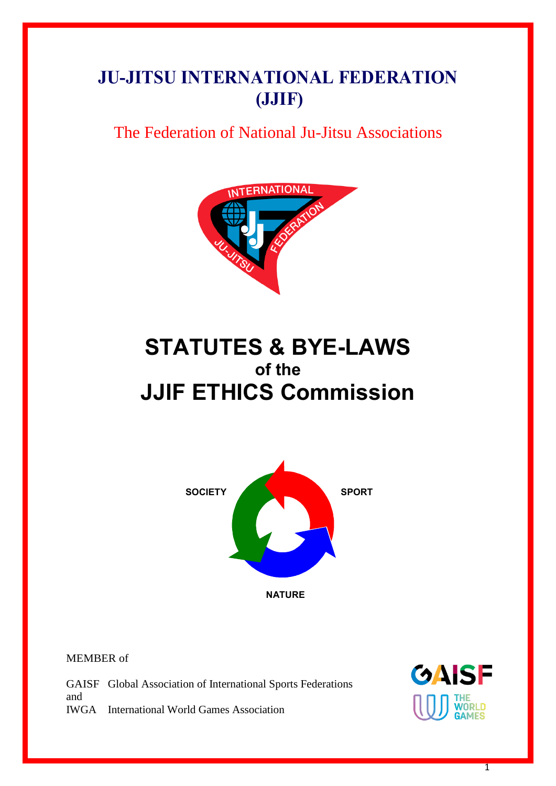# **JU-JITSU INTERNATIONAL FEDERATION (JJIF)**

# The Federation of National Ju-Jitsu Associations



# **STATUTES & BYE-LAWS of the JJIF ETHICS Commission**



MEMBER of

GAISF Global Association of International Sports Federations and IWGA International World Games Association



1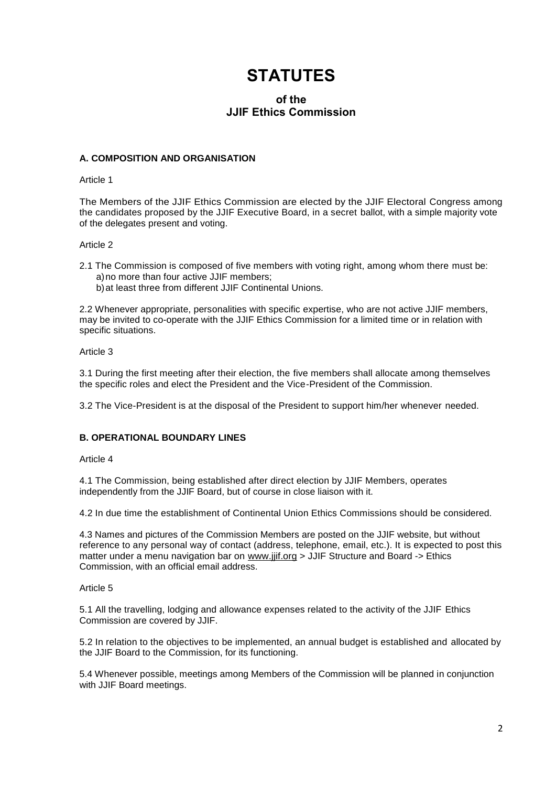# **STATUTES**

### **of the JJIF Ethics Commission**

### **A. COMPOSITION AND ORGANISATION**

#### Article 1

The Members of the JJIF Ethics Commission are elected by the JJIF Electoral Congress among the candidates proposed by the JJIF Executive Board, in a secret ballot, with a simple majority vote of the delegates present and voting.

#### Article 2

- 2.1 The Commission is composed of five members with voting right, among whom there must be: a)no more than four active JJIF members;
	- b)at least three from different JJIF Continental Unions.

2.2 Whenever appropriate, personalities with specific expertise, who are not active JJIF members, may be invited to co-operate with the JJIF Ethics Commission for a limited time or in relation with specific situations.

#### Article 3

3.1 During the first meeting after their election, the five members shall allocate among themselves the specific roles and elect the President and the Vice-President of the Commission.

3.2 The Vice-President is at the disposal of the President to support him/her whenever needed.

#### **B. OPERATIONAL BOUNDARY LINES**

#### Article 4

4.1 The Commission, being established after direct election by JJIF Members, operates independently from the JJIF Board, but of course in close liaison with it.

4.2 In due time the establishment of Continental Union Ethics Commissions should be considered.

4.3 Names and pictures of the Commission Members are posted on the JJIF website, but without reference to any personal way of contact (address, telephone, email, etc.). It is expected to post this matter under a menu navigation bar on [www.jjif.org](http://www.jjif.org/) > JJIF Structure and Board -> Ethics Commission, with an official email address.

#### Article 5

5.1 All the travelling, lodging and allowance expenses related to the activity of the JJIF Ethics Commission are covered by JJIF.

5.2 In relation to the objectives to be implemented, an annual budget is established and allocated by the JJIF Board to the Commission, for its functioning.

5.4 Whenever possible, meetings among Members of the Commission will be planned in conjunction with JJIF Board meetings.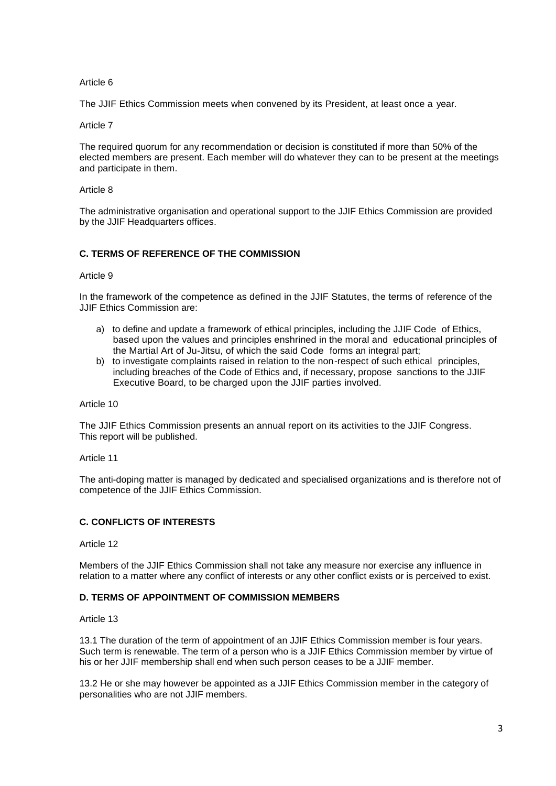#### Article 6

The JJIF Ethics Commission meets when convened by its President, at least once a year.

Article 7

The required quorum for any recommendation or decision is constituted if more than 50% of the elected members are present. Each member will do whatever they can to be present at the meetings and participate in them.

#### Article 8

The administrative organisation and operational support to the JJIF Ethics Commission are provided by the JJIF Headquarters offices.

#### **C. TERMS OF REFERENCE OF THE COMMISSION**

#### Article 9

In the framework of the competence as defined in the JJIF Statutes, the terms of reference of the JJIF Ethics Commission are:

- a) to define and update a framework of ethical principles, including the JJIF Code of Ethics, based upon the values and principles enshrined in the moral and educational principles of the Martial Art of Ju-Jitsu, of which the said Code forms an integral part;
- b) to investigate complaints raised in relation to the non-respect of such ethical principles, including breaches of the Code of Ethics and, if necessary, propose sanctions to the JJIF Executive Board, to be charged upon the JJIF parties involved.

#### Article 10

The JJIF Ethics Commission presents an annual report on its activities to the JJIF Congress. This report will be published.

Article 11

The anti-doping matter is managed by dedicated and specialised organizations and is therefore not of competence of the JJIF Ethics Commission.

#### **C. CONFLICTS OF INTERESTS**

#### Article 12

Members of the JJIF Ethics Commission shall not take any measure nor exercise any influence in relation to a matter where any conflict of interests or any other conflict exists or is perceived to exist.

#### **D. TERMS OF APPOINTMENT OF COMMISSION MEMBERS**

Article 13

13.1 The duration of the term of appointment of an JJIF Ethics Commission member is four years. Such term is renewable. The term of a person who is a JJIF Ethics Commission member by virtue of his or her JJIF membership shall end when such person ceases to be a JJIF member.

13.2 He or she may however be appointed as a JJIF Ethics Commission member in the category of personalities who are not JJIF members.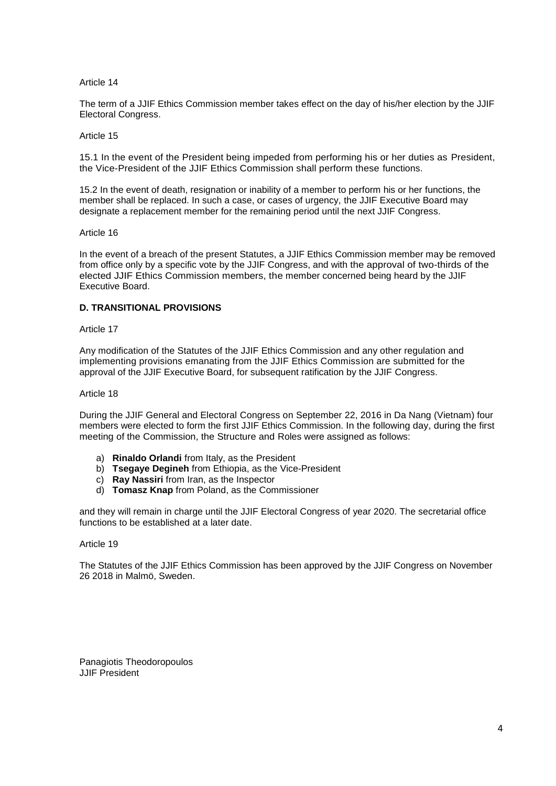Article 14

The term of a JJIF Ethics Commission member takes effect on the day of his/her election by the JJIF Electoral Congress.

Article 15

15.1 In the event of the President being impeded from performing his or her duties as President, the Vice-President of the JJIF Ethics Commission shall perform these functions.

15.2 In the event of death, resignation or inability of a member to perform his or her functions, the member shall be replaced. In such a case, or cases of urgency, the JJIF Executive Board may designate a replacement member for the remaining period until the next JJIF Congress.

Article 16

In the event of a breach of the present Statutes, a JJIF Ethics Commission member may be removed from office only by a specific vote by the JJIF Congress, and with the approval of two-thirds of the elected JJIF Ethics Commission members, the member concerned being heard by the JJIF Executive Board.

#### **D. TRANSITIONAL PROVISIONS**

#### Article 17

Any modification of the Statutes of the JJIF Ethics Commission and any other regulation and implementing provisions emanating from the JJIF Ethics Commission are submitted for the approval of the JJIF Executive Board, for subsequent ratification by the JJIF Congress.

#### Article 18

During the JJIF General and Electoral Congress on September 22, 2016 in Da Nang (Vietnam) four members were elected to form the first JJIF Ethics Commission. In the following day, during the first meeting of the Commission, the Structure and Roles were assigned as follows:

- a) **Rinaldo Orlandi** from Italy, as the President
- b) **Tsegaye Degineh** from Ethiopia, as the Vice-President
- c) **Ray Nassiri** from Iran, as the Inspector
- d) **Tomasz Knap** from Poland, as the Commissioner

and they will remain in charge until the JJIF Electoral Congress of year 2020. The secretarial office functions to be established at a later date.

#### Article 19

The Statutes of the JJIF Ethics Commission has been approved by the JJIF Congress on November 26 2018 in Malmö, Sweden.

Panagiotis Theodoropoulos JJIF President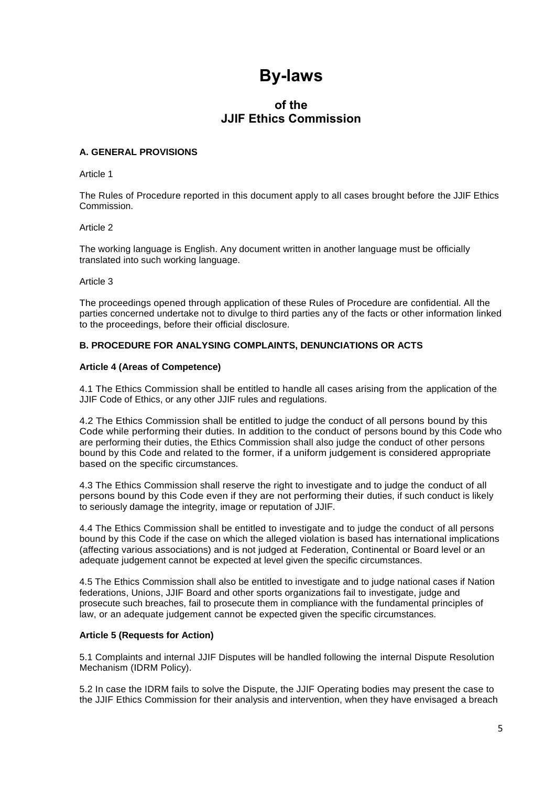## **By-laws**

### **of the JJIF Ethics Commission**

#### **A. GENERAL PROVISIONS**

Article 1

The Rules of Procedure reported in this document apply to all cases brought before the JJIF Ethics Commission.

#### Article 2

The working language is English. Any document written in another language must be officially translated into such working language.

#### Article 3

The proceedings opened through application of these Rules of Procedure are confidential. All the parties concerned undertake not to divulge to third parties any of the facts or other information linked to the proceedings, before their official disclosure.

#### **B. PROCEDURE FOR ANALYSING COMPLAINTS, DENUNCIATIONS OR ACTS**

#### **Article 4 (Areas of Competence)**

4.1 The Ethics Commission shall be entitled to handle all cases arising from the application of the JJIF Code of Ethics, or any other JJIF rules and regulations.

4.2 The Ethics Commission shall be entitled to judge the conduct of all persons bound by this Code while performing their duties. In addition to the conduct of persons bound by this Code who are performing their duties, the Ethics Commission shall also judge the conduct of other persons bound by this Code and related to the former, if a uniform judgement is considered appropriate based on the specific circumstances.

4.3 The Ethics Commission shall reserve the right to investigate and to judge the conduct of all persons bound by this Code even if they are not performing their duties, if such conduct is likely to seriously damage the integrity, image or reputation of JJIF.

4.4 The Ethics Commission shall be entitled to investigate and to judge the conduct of all persons bound by this Code if the case on which the alleged violation is based has international implications (affecting various associations) and is not judged at Federation, Continental or Board level or an adequate judgement cannot be expected at level given the specific circumstances.

4.5 The Ethics Commission shall also be entitled to investigate and to judge national cases if Nation federations, Unions, JJIF Board and other sports organizations fail to investigate, judge and prosecute such breaches, fail to prosecute them in compliance with the fundamental principles of law, or an adequate judgement cannot be expected given the specific circumstances.

#### **Article 5 (Requests for Action)**

5.1 Complaints and internal JJIF Disputes will be handled following the internal Dispute Resolution Mechanism (IDRM Policy).

5.2 In case the IDRM fails to solve the Dispute, the JJIF Operating bodies may present the case to the JJIF Ethics Commission for their analysis and intervention, when they have envisaged a breach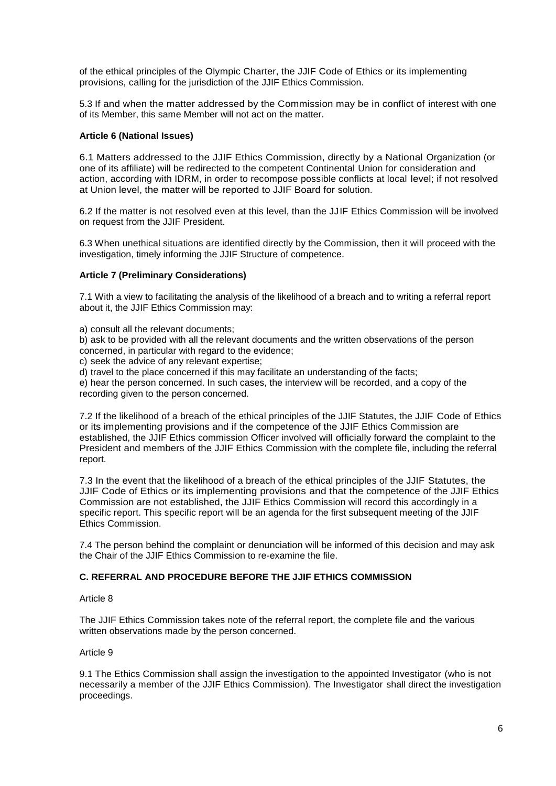of the ethical principles of the Olympic Charter, the JJIF Code of Ethics or its implementing provisions, calling for the jurisdiction of the JJIF Ethics Commission.

5.3 If and when the matter addressed by the Commission may be in conflict of interest with one of its Member, this same Member will not act on the matter.

#### **Article 6 (National Issues)**

6.1 Matters addressed to the JJIF Ethics Commission, directly by a National Organization (or one of its affiliate) will be redirected to the competent Continental Union for consideration and action, according with IDRM, in order to recompose possible conflicts at local level; if not resolved at Union level, the matter will be reported to JJIF Board for solution.

6.2 If the matter is not resolved even at this level, than the JJIF Ethics Commission will be involved on request from the JJIF President.

6.3 When unethical situations are identified directly by the Commission, then it will proceed with the investigation, timely informing the JJIF Structure of competence.

#### **Article 7 (Preliminary Considerations)**

7.1 With a view to facilitating the analysis of the likelihood of a breach and to writing a referral report about it, the JJIF Ethics Commission may:

a) consult all the relevant documents;

b) ask to be provided with all the relevant documents and the written observations of the person concerned, in particular with regard to the evidence;

c) seek the advice of any relevant expertise;

d) travel to the place concerned if this may facilitate an understanding of the facts;

e) hear the person concerned. In such cases, the interview will be recorded, and a copy of the recording given to the person concerned.

7.2 If the likelihood of a breach of the ethical principles of the JJIF Statutes, the JJIF Code of Ethics or its implementing provisions and if the competence of the JJIF Ethics Commission are established, the JJIF Ethics commission Officer involved will officially forward the complaint to the President and members of the JJIF Ethics Commission with the complete file, including the referral report.

7.3 In the event that the likelihood of a breach of the ethical principles of the JJIF Statutes, the JJIF Code of Ethics or its implementing provisions and that the competence of the JJIF Ethics Commission are not established, the JJIF Ethics Commission will record this accordingly in a specific report. This specific report will be an agenda for the first subsequent meeting of the JJIF Ethics Commission.

7.4 The person behind the complaint or denunciation will be informed of this decision and may ask the Chair of the JJIF Ethics Commission to re-examine the file.

#### **C. REFERRAL AND PROCEDURE BEFORE THE JJIF ETHICS COMMISSION**

#### Article 8

The JJIF Ethics Commission takes note of the referral report, the complete file and the various written observations made by the person concerned.

#### Article 9

9.1 The Ethics Commission shall assign the investigation to the appointed Investigator (who is not necessarily a member of the JJIF Ethics Commission). The Investigator shall direct the investigation proceedings.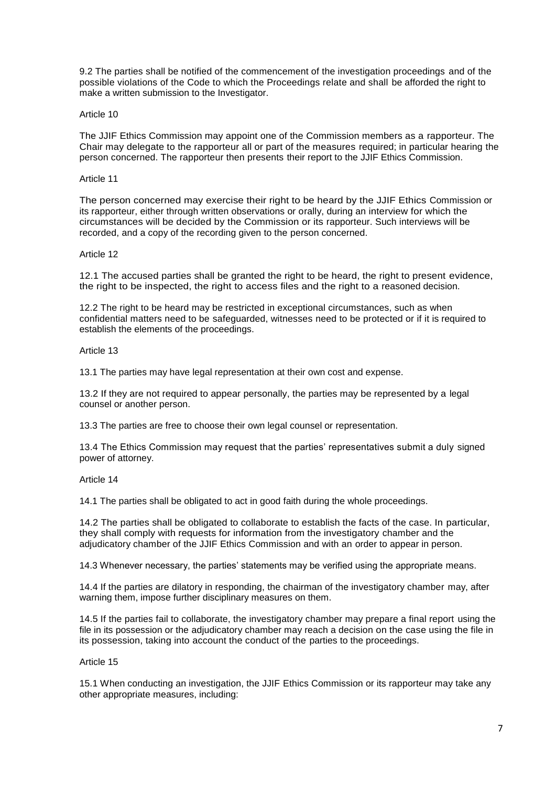9.2 The parties shall be notified of the commencement of the investigation proceedings and of the possible violations of the Code to which the Proceedings relate and shall be afforded the right to make a written submission to the Investigator.

#### Article 10

The JJIF Ethics Commission may appoint one of the Commission members as a rapporteur. The Chair may delegate to the rapporteur all or part of the measures required; in particular hearing the person concerned. The rapporteur then presents their report to the JJIF Ethics Commission.

#### Article 11

The person concerned may exercise their right to be heard by the JJIF Ethics Commission or its rapporteur, either through written observations or orally, during an interview for which the circumstances will be decided by the Commission or its rapporteur. Such interviews will be recorded, and a copy of the recording given to the person concerned.

#### Article 12

12.1 The accused parties shall be granted the right to be heard, the right to present evidence, the right to be inspected, the right to access files and the right to a reasoned decision.

12.2 The right to be heard may be restricted in exceptional circumstances, such as when confidential matters need to be safeguarded, witnesses need to be protected or if it is required to establish the elements of the proceedings.

#### Article 13

13.1 The parties may have legal representation at their own cost and expense.

13.2 If they are not required to appear personally, the parties may be represented by a legal counsel or another person.

13.3 The parties are free to choose their own legal counsel or representation.

13.4 The Ethics Commission may request that the parties' representatives submit a duly signed power of attorney.

#### Article 14

14.1 The parties shall be obligated to act in good faith during the whole proceedings.

14.2 The parties shall be obligated to collaborate to establish the facts of the case. In particular, they shall comply with requests for information from the investigatory chamber and the adjudicatory chamber of the JJIF Ethics Commission and with an order to appear in person.

14.3 Whenever necessary, the parties' statements may be verified using the appropriate means.

14.4 If the parties are dilatory in responding, the chairman of the investigatory chamber may, after warning them, impose further disciplinary measures on them.

14.5 If the parties fail to collaborate, the investigatory chamber may prepare a final report using the file in its possession or the adjudicatory chamber may reach a decision on the case using the file in its possession, taking into account the conduct of the parties to the proceedings.

#### Article 15

15.1 When conducting an investigation, the JJIF Ethics Commission or its rapporteur may take any other appropriate measures, including: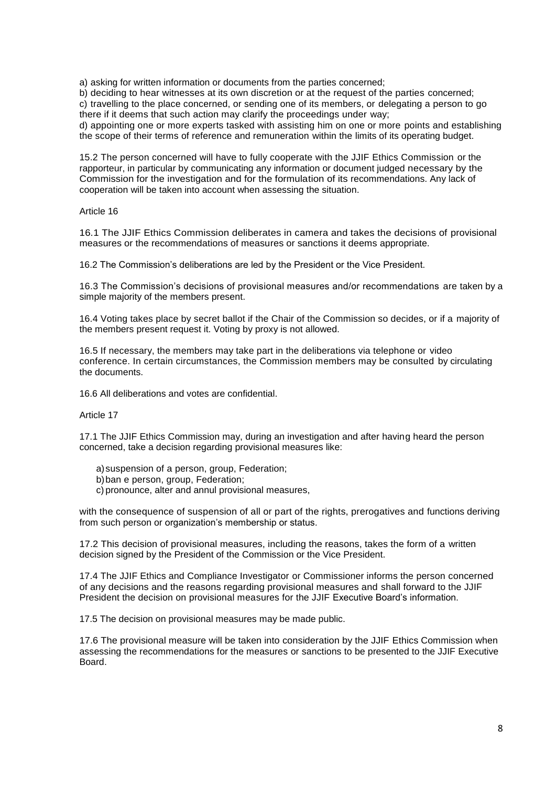a) asking for written information or documents from the parties concerned;

b) deciding to hear witnesses at its own discretion or at the request of the parties concerned; c) travelling to the place concerned, or sending one of its members, or delegating a person to go there if it deems that such action may clarify the proceedings under way;

d) appointing one or more experts tasked with assisting him on one or more points and establishing the scope of their terms of reference and remuneration within the limits of its operating budget.

15.2 The person concerned will have to fully cooperate with the JJIF Ethics Commission or the rapporteur, in particular by communicating any information or document judged necessary by the Commission for the investigation and for the formulation of its recommendations. Any lack of cooperation will be taken into account when assessing the situation.

#### Article 16

16.1 The JJIF Ethics Commission deliberates in camera and takes the decisions of provisional measures or the recommendations of measures or sanctions it deems appropriate.

16.2 The Commission's deliberations are led by the President or the Vice President.

16.3 The Commission's decisions of provisional measures and/or recommendations are taken by a simple majority of the members present.

16.4 Voting takes place by secret ballot if the Chair of the Commission so decides, or if a majority of the members present request it. Voting by proxy is not allowed.

16.5 If necessary, the members may take part in the deliberations via telephone or video conference. In certain circumstances, the Commission members may be consulted by circulating the documents.

16.6 All deliberations and votes are confidential.

#### Article 17

17.1 The JJIF Ethics Commission may, during an investigation and after having heard the person concerned, take a decision regarding provisional measures like:

- a)suspension of a person, group, Federation;
- b)ban e person, group, Federation;
- c) pronounce, alter and annul provisional measures,

with the consequence of suspension of all or part of the rights, prerogatives and functions deriving from such person or organization's membership or status.

17.2 This decision of provisional measures, including the reasons, takes the form of a written decision signed by the President of the Commission or the Vice President.

17.4 The JJIF Ethics and Compliance Investigator or Commissioner informs the person concerned of any decisions and the reasons regarding provisional measures and shall forward to the JJIF President the decision on provisional measures for the JJIF Executive Board's information.

17.5 The decision on provisional measures may be made public.

17.6 The provisional measure will be taken into consideration by the JJIF Ethics Commission when assessing the recommendations for the measures or sanctions to be presented to the JJIF Executive Board.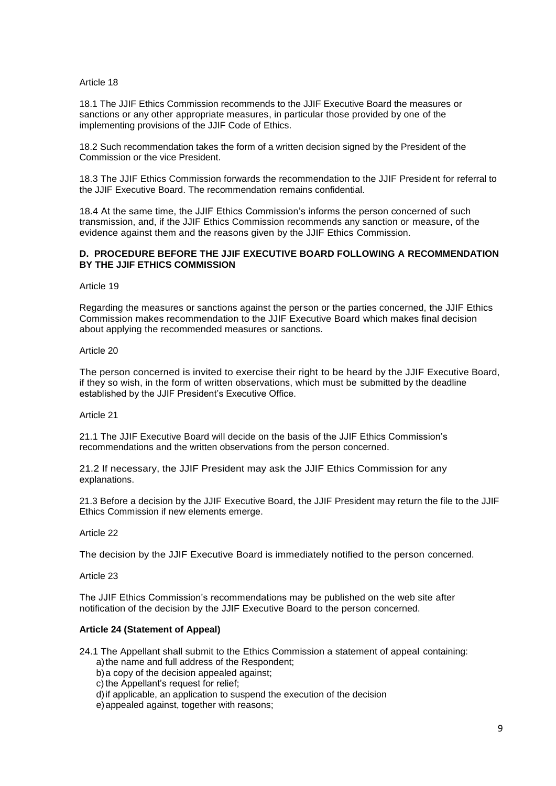#### Article 18

18.1 The JJIF Ethics Commission recommends to the JJIF Executive Board the measures or sanctions or any other appropriate measures, in particular those provided by one of the implementing provisions of the JJIF Code of Ethics.

18.2 Such recommendation takes the form of a written decision signed by the President of the Commission or the vice President.

18.3 The JJIF Ethics Commission forwards the recommendation to the JJIF President for referral to the JJIF Executive Board. The recommendation remains confidential.

18.4 At the same time, the JJIF Ethics Commission's informs the person concerned of such transmission, and, if the JJIF Ethics Commission recommends any sanction or measure, of the evidence against them and the reasons given by the JJIF Ethics Commission.

#### **D. PROCEDURE BEFORE THE JJIF EXECUTIVE BOARD FOLLOWING A RECOMMENDATION BY THE JJIF ETHICS COMMISSION**

Article 19

Regarding the measures or sanctions against the person or the parties concerned, the JJIF Ethics Commission makes recommendation to the JJIF Executive Board which makes final decision about applying the recommended measures or sanctions.

#### Article 20

The person concerned is invited to exercise their right to be heard by the JJIF Executive Board, if they so wish, in the form of written observations, which must be submitted by the deadline established by the JJIF President's Executive Office.

#### Article 21

21.1 The JJIF Executive Board will decide on the basis of the JJIF Ethics Commission's recommendations and the written observations from the person concerned.

21.2 If necessary, the JJIF President may ask the JJIF Ethics Commission for any explanations.

21.3 Before a decision by the JJIF Executive Board, the JJIF President may return the file to the JJIF Ethics Commission if new elements emerge.

#### Article 22

The decision by the JJIF Executive Board is immediately notified to the person concerned.

Article 23

The JJIF Ethics Commission's recommendations may be published on the web site after notification of the decision by the JJIF Executive Board to the person concerned.

#### **Article 24 (Statement of Appeal)**

- 24.1 The Appellant shall submit to the Ethics Commission a statement of appeal containing: a)the name and full address of the Respondent;
	- b)a copy of the decision appealed against;
	- c) the Appellant's request for relief;
	- d)if applicable, an application to suspend the execution of the decision
	- e)appealed against, together with reasons;